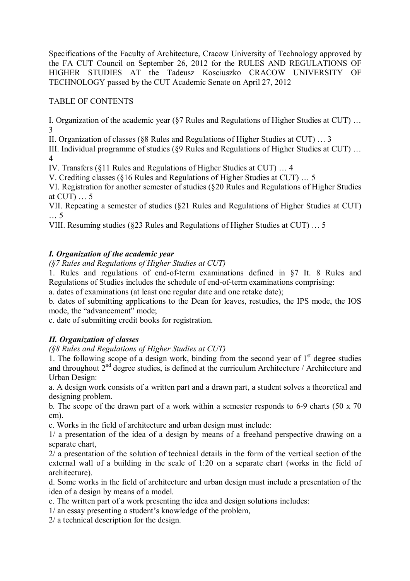Specifications of the Faculty of Architecture, Cracow University of Technology approved by the FA CUT Council on September 26, 2012 for the RULES AND REGULATIONS OF HIGHER STUDIES AT the Tadeusz Kosciuszko CRACOW UNIVERSITY OF TECHNOLOGY passed by the CUT Academic Senate on April 27, 2012

# TABLE OF CONTENTS

I. Organization of the academic year (§7 Rules and Regulations of Higher Studies at CUT) … 3

II. Organization of classes (§8 Rules and Regulations of Higher Studies at CUT) … 3

III. Individual programme of studies (§9 Rules and Regulations of Higher Studies at CUT) … 4

IV. Transfers (§11 Rules and Regulations of Higher Studies at CUT) … 4

V. Crediting classes (§16 Rules and Regulations of Higher Studies at CUT) … 5

VI. Registration for another semester of studies (§20 Rules and Regulations of Higher Studies at CUT) … 5

VII. Repeating a semester of studies (§21 Rules and Regulations of Higher Studies at CUT) … 5

VIII. Resuming studies (§23 Rules and Regulations of Higher Studies at CUT) … 5

## *I. Organization of the academic year*

*(§7 Rules and Regulations of Higher Studies at CUT)*

1. Rules and regulations of end-of-term examinations defined in §7 It. 8 Rules and Regulations of Studies includes the schedule of end-of-term examinations comprising:

a. dates of examinations (at least one regular date and one retake date);

b. dates of submitting applications to the Dean for leaves, restudies, the IPS mode, the IOS mode, the "advancement" mode;

c. date of submitting credit books for registration.

# *II. Organization of classes*

*(§8 Rules and Regulations of Higher Studies at CUT)*

1. The following scope of a design work, binding from the second year of  $1<sup>st</sup>$  degree studies and throughout  $2<sup>nd</sup>$  degree studies, is defined at the curriculum Architecture / Architecture and Urban Design:

a. A design work consists of a written part and a drawn part, a student solves a theoretical and designing problem.

b. The scope of the drawn part of a work within a semester responds to 6-9 charts (50 x 70 cm).

c. Works in the field of architecture and urban design must include:

1/ a presentation of the idea of a design by means of a freehand perspective drawing on a separate chart,

2/ a presentation of the solution of technical details in the form of the vertical section of the external wall of a building in the scale of 1:20 on a separate chart (works in the field of architecture).

d. Some works in the field of architecture and urban design must include a presentation of the idea of a design by means of a model.

e. The written part of a work presenting the idea and design solutions includes:

1/ an essay presenting a student's knowledge of the problem,

2/ a technical description for the design.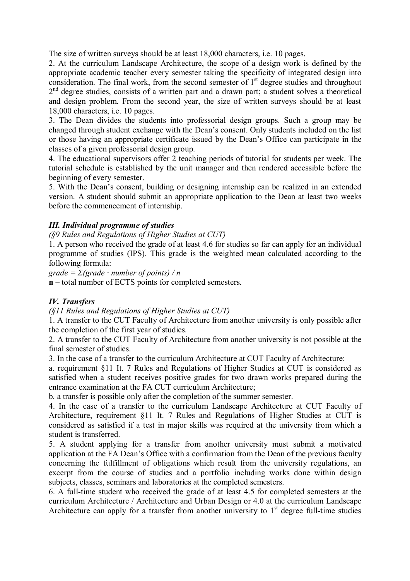The size of written surveys should be at least 18,000 characters, i.e. 10 pages.

2. At the curriculum Landscape Architecture, the scope of a design work is defined by the appropriate academic teacher every semester taking the specificity of integrated design into consideration. The final work, from the second semester of  $1<sup>st</sup>$  degree studies and throughout 2<sup>nd</sup> degree studies, consists of a written part and a drawn part; a student solves a theoretical and design problem. From the second year, the size of written surveys should be at least 18,000 characters, i.e. 10 pages.

3. The Dean divides the students into professorial design groups. Such a group may be changed through student exchange with the Dean's consent. Only students included on the list or those having an appropriate certificate issued by the Dean's Office can participate in the classes of a given professorial design group.

4. The educational supervisors offer 2 teaching periods of tutorial for students per week. The tutorial schedule is established by the unit manager and then rendered accessible before the beginning of every semester.

5. With the Dean's consent, building or designing internship can be realized in an extended version. A student should submit an appropriate application to the Dean at least two weeks before the commencement of internship.

### *III. Individual programme of studies*

*(§9 Rules and Regulations of Higher Studies at CUT)*

1. A person who received the grade of at least 4.6 for studies so far can apply for an individual programme of studies (IPS). This grade is the weighted mean calculated according to the following formula:

*grade = Σ(grade · number of points) / n*

**n** – total number of ECTS points for completed semesters.

### *IV. Transfers*

*(§11 Rules and Regulations of Higher Studies at CUT)*

1. A transfer to the CUT Faculty of Architecture from another university is only possible after the completion of the first year of studies.

2. A transfer to the CUT Faculty of Architecture from another university is not possible at the final semester of studies.

3. In the case of a transfer to the curriculum Architecture at CUT Faculty of Architecture:

a. requirement §11 It. 7 Rules and Regulations of Higher Studies at CUT is considered as satisfied when a student receives positive grades for two drawn works prepared during the entrance examination at the FA CUT curriculum Architecture;

b. a transfer is possible only after the completion of the summer semester.

4. In the case of a transfer to the curriculum Landscape Architecture at CUT Faculty of Architecture, requirement §11 It. 7 Rules and Regulations of Higher Studies at CUT is considered as satisfied if a test in major skills was required at the university from which a student is transferred.

5. A student applying for a transfer from another university must submit a motivated application at the FA Dean's Office with a confirmation from the Dean of the previous faculty concerning the fulfillment of obligations which result from the university regulations, an excerpt from the course of studies and a portfolio including works done within design subjects, classes, seminars and laboratories at the completed semesters.

6. A full-time student who received the grade of at least 4.5 for completed semesters at the curriculum Architecture / Architecture and Urban Design or 4.0 at the curriculum Landscape Architecture can apply for a transfer from another university to  $1<sup>st</sup>$  degree full-time studies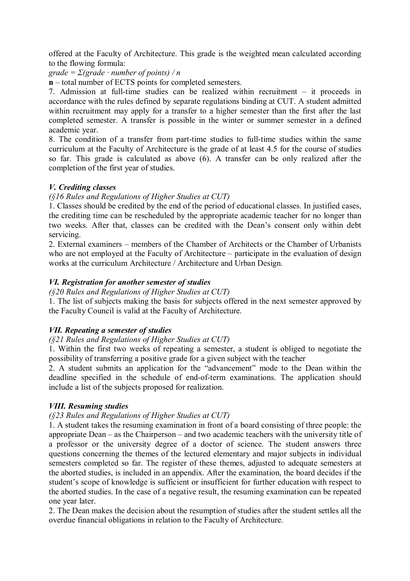offered at the Faculty of Architecture. This grade is the weighted mean calculated according to the flowing formula:

*grade = Σ(grade · number of points) / n*

**n** – total number of ECTS points for completed semesters.

7. Admission at full-time studies can be realized within recruitment – it proceeds in accordance with the rules defined by separate regulations binding at CUT. A student admitted within recruitment may apply for a transfer to a higher semester than the first after the last completed semester. A transfer is possible in the winter or summer semester in a defined academic year.

8. The condition of a transfer from part-time studies to full-time studies within the same curriculum at the Faculty of Architecture is the grade of at least 4.5 for the course of studies so far. This grade is calculated as above (6). A transfer can be only realized after the completion of the first year of studies.

### *V. Crediting classes*

#### *(§16 Rules and Regulations of Higher Studies at CUT)*

1. Classes should be credited by the end of the period of educational classes. In justified cases, the crediting time can be rescheduled by the appropriate academic teacher for no longer than two weeks. After that, classes can be credited with the Dean's consent only within debt servicing.

2. External examiners – members of the Chamber of Architects or the Chamber of Urbanists who are not employed at the Faculty of Architecture – participate in the evaluation of design works at the curriculum Architecture / Architecture and Urban Design.

### *VI. Registration for another semester of studies*

#### *(§20 Rules and Regulations of Higher Studies at CUT)*

1. The list of subjects making the basis for subjects offered in the next semester approved by the Faculty Council is valid at the Faculty of Architecture.

### *VII. Repeating a semester of studies*

### *(§21 Rules and Regulations of Higher Studies at CUT)*

1. Within the first two weeks of repeating a semester, a student is obliged to negotiate the possibility of transferring a positive grade for a given subject with the teacher

2. A student submits an application for the "advancement" mode to the Dean within the deadline specified in the schedule of end-of-term examinations. The application should include a list of the subjects proposed for realization.

### *VIII. Resuming studies*

### *(§23 Rules and Regulations of Higher Studies at CUT)*

1. A student takes the resuming examination in front of a board consisting of three people: the appropriate Dean – as the Chairperson – and two academic teachers with the university title of a professor or the university degree of a doctor of science. The student answers three questions concerning the themes of the lectured elementary and major subjects in individual semesters completed so far. The register of these themes, adjusted to adequate semesters at the aborted studies, is included in an appendix. After the examination, the board decides if the student's scope of knowledge is sufficient or insufficient for further education with respect to the aborted studies. In the case of a negative result, the resuming examination can be repeated one year later.

2. The Dean makes the decision about the resumption of studies after the student settles all the overdue financial obligations in relation to the Faculty of Architecture.